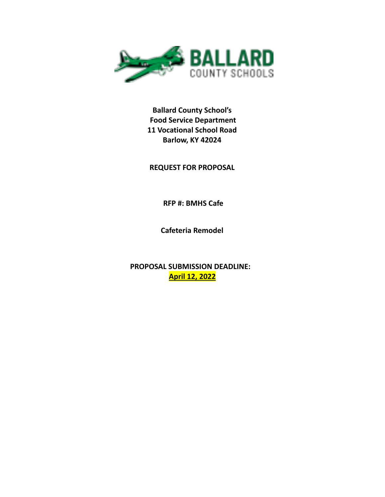

**Ballard County School's Food Service Department 11 Vocational School Road Barlow, KY 42024**

**REQUEST FOR PROPOSAL**

**RFP #: BMHS Cafe**

**Cafeteria Remodel**

**PROPOSAL SUBMISSION DEADLINE: April 12, 2022**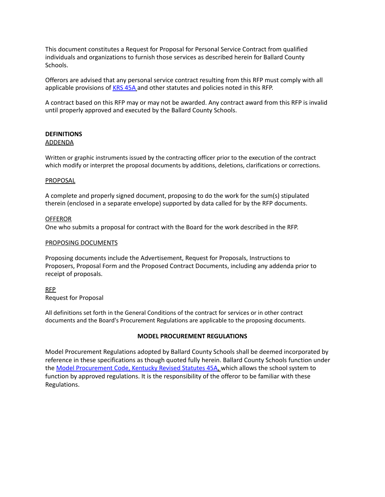This document constitutes a Request for Proposal for Personal Service Contract from qualified individuals and organizations to furnish those services as described herein for Ballard County Schools.

Offerors are advised that any personal service contract resulting from this RFP must comply with all applicable provisions of KRS [45A](http://www.lrc.ky.gov/statutes/chapter.aspx?id=37250) and other statutes and policies noted in this RFP.

A contract based on this RFP may or may not be awarded. Any contract award from this RFP is invalid until properly approved and executed by the Ballard County Schools.

#### **DEFINITIONS** ADDENDA

Written or graphic instruments issued by the contracting officer prior to the execution of the contract which modify or interpret the proposal documents by additions, deletions, clarifications or corrections.

### PROPOSAL

A complete and properly signed document, proposing to do the work for the sum(s) stipulated therein (enclosed in a separate envelope) supported by data called for by the RFP documents.

### OFFEROR

One who submits a proposal for contract with the Board for the work described in the RFP.

### PROPOSING DOCUMENTS

Proposing documents include the Advertisement, Request for Proposals, Instructions to Proposers, Proposal Form and the Proposed Contract Documents, including any addenda prior to receipt of proposals.

### RFP

Request for Proposal

All definitions set forth in the General Conditions of the contract for services or in other contract documents and the Board's Procurement Regulations are applicable to the proposing documents.

### **MODEL PROCUREMENT REGULATIONS**

Model Procurement Regulations adopted by Ballard County Schools shall be deemed incorporated by reference in these specifications as though quoted fully herein. Ballard County Schools function under the Model [Procurement](http://www.lrc.ky.gov/statutes/chapter.aspx?id=37250) Code, Kentucky Revised Statutes 45A, which allows the school system to function by approved regulations. It is the responsibility of the offeror to be familiar with these Regulations.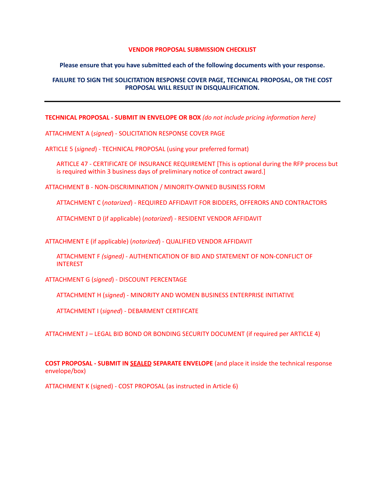#### **VENDOR PROPOSAL SUBMISSION CHECKLIST**

#### **Please ensure that you have submitted each of the following documents with your response.**

### **FAILURE TO SIGN THE SOLICITATION RESPONSE COVER PAGE, TECHNICAL PROPOSAL, OR THE COST PROPOSAL WILL RESULT IN DISQUALIFICATION.**

**TECHNICAL PROPOSAL - SUBMIT IN ENVELOPE OR BOX** *(do not include pricing information here)*

ATTACHMENT A (*signed*) - SOLICITATION RESPONSE COVER PAGE

ARTICLE 5 (*signed*) - TECHNICAL PROPOSAL (using your preferred format)

ARTICLE 47 - CERTIFICATE OF INSURANCE REQUIREMENT [This is optional during the RFP process but is required within 3 business days of preliminary notice of contract award.]

ATTACHMENT B - NON-DISCRIMINATION / MINORITY-OWNED BUSINESS FORM

ATTACHMENT C (*notarized*) - REQUIRED AFFIDAVIT FOR BIDDERS, OFFERORS AND CONTRACTORS

ATTACHMENT D (if applicable) (*notarized*) - RESIDENT VENDOR AFFIDAVIT

ATTACHMENT E (if applicable) (*notarized*) - QUALIFIED VENDOR AFFIDAVIT

ATTACHMENT F *(signed)* - AUTHENTICATION OF BID AND STATEMENT OF NON-CONFLICT OF INTEREST

ATTACHMENT G (*signed*) - DISCOUNT PERCENTAGE

ATTACHMENT H (*signed*) - MINORITY AND WOMEN BUSINESS ENTERPRISE INITIATIVE

ATTACHMENT I (*signed*) - DEBARMENT CERTIFCATE

ATTACHMENT J – LEGAL BID BOND OR BONDING SECURITY DOCUMENT (if required per ARTICLE 4)

**COST PROPOSAL - SUBMIT IN SEALED SEPARATE ENVELOPE** (and place it inside the technical response envelope/box)

ATTACHMENT K (signed) - COST PROPOSAL (as instructed in Article 6)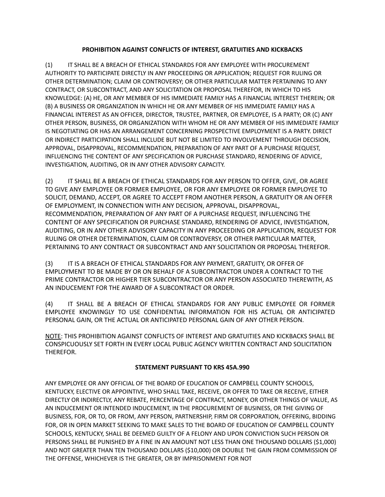## **PROHIBITION AGAINST CONFLICTS OF INTEREST, GRATUITIES AND KICKBACKS**

(1) IT SHALL BE A BREACH OF ETHICAL STANDARDS FOR ANY EMPLOYEE WITH PROCUREMENT AUTHORITY TO PARTICIPATE DIRECTLY IN ANY PROCEEDING OR APPLICATION; REQUEST FOR RULING OR OTHER DETERMINATION; CLAIM OR CONTROVERSY; OR OTHER PARTICULAR MATTER PERTAINING TO ANY CONTRACT, OR SUBCONTRACT, AND ANY SOLICITATION OR PROPOSAL THEREFOR, IN WHICH TO HIS KNOWLEDGE: (A) HE, OR ANY MEMBER OF HIS IMMEDIATE FAMILY HAS A FINANCIAL INTEREST THEREIN; OR (B) A BUSINESS OR ORGANIZATION IN WHICH HE OR ANY MEMBER OF HIS IMMEDIATE FAMILY HAS A FINANCIAL INTEREST AS AN OFFICER, DIRECTOR, TRUSTEE, PARTNER, OR EMPLOYEE, IS A PARTY; OR (C) ANY OTHER PERSON, BUSINESS, OR ORGANIZATION WITH WHOM HE OR ANY MEMBER OF HIS IMMEDIATE FAMILY IS NEGOTIATING OR HAS AN ARRANGEMENT CONCERNING PROSPECTIVE EMPLOYMENT IS A PARTY. DIRECT OR INDIRECT PARTICIPATION SHALL INCLUDE BUT NOT BE LIMITED TO INVOLVEMENT THROUGH DECISION, APPROVAL, DISAPPROVAL, RECOMMENDATION, PREPARATION OF ANY PART OF A PURCHASE REQUEST, INFLUENCING THE CONTENT OF ANY SPECIFICATION OR PURCHASE STANDARD, RENDERING OF ADVICE, INVESTIGATION, AUDITING, OR IN ANY OTHER ADVISORY CAPACITY.

(2) IT SHALL BE A BREACH OF ETHICAL STANDARDS FOR ANY PERSON TO OFFER, GIVE, OR AGREE TO GIVE ANY EMPLOYEE OR FORMER EMPLOYEE, OR FOR ANY EMPLOYEE OR FORMER EMPLOYEE TO SOLICIT, DEMAND, ACCEPT, OR AGREE TO ACCEPT FROM ANOTHER PERSON, A GRATUITY OR AN OFFER OF EMPLOYMENT, IN CONNECTION WITH ANY DECISION, APPROVAL, DISAPPROVAL, RECOMMENDATION, PREPARATION OF ANY PART OF A PURCHASE REQUEST, INFLUENCING THE CONTENT OF ANY SPECIFICATION OR PURCHASE STANDARD, RENDERING OF ADVICE, INVESTIGATION, AUDITING, OR IN ANY OTHER ADVISORY CAPACITY IN ANY PROCEEDING OR APPLICATION, REQUEST FOR RULING OR OTHER DETERMINATION, CLAIM OR CONTROVERSY, OR OTHER PARTICULAR MATTER, PERTAINING TO ANY CONTRACT OR SUBCONTRACT AND ANY SOLICITATION OR PROPOSAL THEREFOR.

(3) IT IS A BREACH OF ETHICAL STANDARDS FOR ANY PAYMENT, GRATUITY, OR OFFER OF EMPLOYMENT TO BE MADE BY OR ON BEHALF OF A SUBCONTRACTOR UNDER A CONTRACT TO THE PRIME CONTRACTOR OR HIGHER TIER SUBCONTRACTOR OR ANY PERSON ASSOCIATED THEREWITH, AS AN INDUCEMENT FOR THE AWARD OF A SUBCONTRACT OR ORDER.

(4) IT SHALL BE A BREACH OF ETHICAL STANDARDS FOR ANY PUBLIC EMPLOYEE OR FORMER EMPLOYEE KNOWINGLY TO USE CONFIDENTIAL INFORMATION FOR HIS ACTUAL OR ANTICIPATED PERSONAL GAIN, OR THE ACTUAL OR ANTICIPATED PERSONAL GAIN OF ANY OTHER PERSON.

NOTE: THIS PROHIBITION AGAINST CONFLICTS OF INTEREST AND GRATUITIES AND KICKBACKS SHALL BE CONSPICUOUSLY SET FORTH IN EVERY LOCAL PUBLIC AGENCY WRITTEN CONTRACT AND SOLICITATION THEREFOR.

## **STATEMENT PURSUANT TO KRS 45A.990**

ANY EMPLOYEE OR ANY OFFICIAL OF THE BOARD OF EDUCATION OF CAMPBELL COUNTY SCHOOLS, KENTUCKY, ELECTIVE OR APPOINTIVE, WHO SHALL TAKE, RECEIVE, OR OFFER TO TAKE OR RECEIVE, EITHER DIRECTLY OR INDIRECTLY, ANY REBATE, PERCENTAGE OF CONTRACT, MONEY, OR OTHER THINGS OF VALUE, AS AN INDUCEMENT OR INTENDED INDUCEMENT, IN THE PROCUREMENT OF BUSINESS, OR THE GIVING OF BUSINESS, FOR, OR TO, OR FROM, ANY PERSON, PARTNERSHIP, FIRM OR CORPORATION, OFFERING, BIDDING FOR, OR IN OPEN MARKET SEEKING TO MAKE SALES TO THE BOARD OF EDUCATION OF CAMPBELL COUNTY SCHOOLS, KENTUCKY, SHALL BE DEEMED GUILTY OF A FELONY AND UPON CONVICTION SUCH PERSON OR PERSONS SHALL BE PUNISHED BY A FINE IN AN AMOUNT NOT LESS THAN ONE THOUSAND DOLLARS (\$1,000) AND NOT GREATER THAN TEN THOUSAND DOLLARS (\$10,000) OR DOUBLE THE GAIN FROM COMMISSION OF THE OFFENSE, WHICHEVER IS THE GREATER, OR BY IMPRISONMENT FOR NOT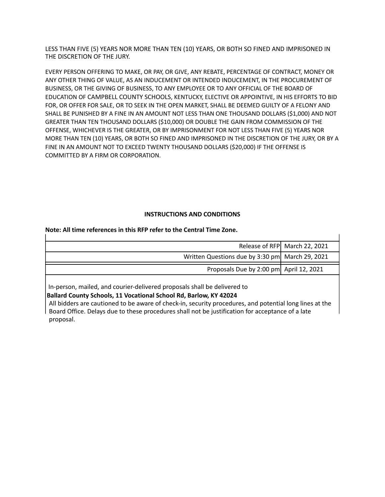LESS THAN FIVE (5) YEARS NOR MORE THAN TEN (10) YEARS, OR BOTH SO FINED AND IMPRISONED IN THE DISCRETION OF THE JURY.

EVERY PERSON OFFERING TO MAKE, OR PAY, OR GIVE, ANY REBATE, PERCENTAGE OF CONTRACT, MONEY OR ANY OTHER THING OF VALUE, AS AN INDUCEMENT OR INTENDED INDUCEMENT, IN THE PROCUREMENT OF BUSINESS, OR THE GIVING OF BUSINESS, TO ANY EMPLOYEE OR TO ANY OFFICIAL OF THE BOARD OF EDUCATION OF CAMPBELL COUNTY SCHOOLS, KENTUCKY, ELECTIVE OR APPOINTIVE, IN HIS EFFORTS TO BID FOR, OR OFFER FOR SALE, OR TO SEEK IN THE OPEN MARKET, SHALL BE DEEMED GUILTY OF A FELONY AND SHALL BE PUNISHED BY A FINE IN AN AMOUNT NOT LESS THAN ONE THOUSAND DOLLARS (\$1,000) AND NOT GREATER THAN TEN THOUSAND DOLLARS (\$10,000) OR DOUBLE THE GAIN FROM COMMISSION OF THE OFFENSE, WHICHEVER IS THE GREATER, OR BY IMPRISONMENT FOR NOT LESS THAN FIVE (5) YEARS NOR MORE THAN TEN (10) YEARS, OR BOTH SO FINED AND IMPRISONED IN THE DISCRETION OF THE JURY, OR BY A FINE IN AN AMOUNT NOT TO EXCEED TWENTY THOUSAND DOLLARS (\$20,000) IF THE OFFENSE IS COMMITTED BY A FIRM OR CORPORATION.

## **INSTRUCTIONS AND CONDITIONS**

## **Note: All time references in this RFP refer to the Central Time Zone.**

|                                                 | Release of RFP March 22, 2021 |
|-------------------------------------------------|-------------------------------|
| Written Questions due by 3:30 pm March 29, 2021 |                               |
|                                                 |                               |
| Proposals Due by 2:00 pm April 12, 2021         |                               |
|                                                 |                               |

In-person, mailed, and courier-delivered proposals shall be delivered to

**Ballard County Schools, 11 Vocational School Rd, Barlow, KY 42024**

All bidders are cautioned to be aware of check-in, security procedures, and potential long lines at the Board Office. Delays due to these procedures shall not be justification for acceptance of a late proposal.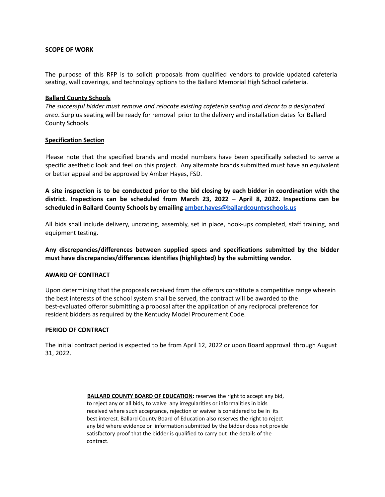### **SCOPE OF WORK**

The purpose of this RFP is to solicit proposals from qualified vendors to provide updated cafeteria seating, wall coverings, and technology options to the Ballard Memorial High School cafeteria.

### **Ballard County Schools**

*The successful bidder must remove and relocate existing cafeteria seating and decor to a designated area*. Surplus seating will be ready for removal prior to the delivery and installation dates for Ballard County Schools.

### **Specification Section**

Please note that the specified brands and model numbers have been specifically selected to serve a specific aesthetic look and feel on this project. Any alternate brands submitted must have an equivalent or better appeal and be approved by Amber Hayes, FSD.

A site inspection is to be conducted prior to the bid closing by each bidder in coordination with the **district. Inspections can be scheduled from March 23, 2022 – April 8, 2022. Inspections can be scheduled in Ballard County Schools by emailing [amber.hayes@ballardcountyschools.us](mailto:amber.hayes@ballardcountyschools.us)**

All bids shall include delivery, uncrating, assembly, set in place, hook-ups completed, staff training, and equipment testing.

**Any discrepancies/differences between supplied specs and specifications submitted by the bidder must have discrepancies/differences identifies (highlighted) by the submitting vendor.**

### **AWARD OF CONTRACT**

Upon determining that the proposals received from the offerors constitute a competitive range wherein the best interests of the school system shall be served, the contract will be awarded to the best-evaluated offeror submitting a proposal after the application of any reciprocal preference for resident bidders as required by the Kentucky Model Procurement Code.

### **PERIOD OF CONTRACT**

The initial contract period is expected to be from April 12, 2022 or upon Board approval through August 31, 2022.

> **BALLARD COUNTY BOARD OF EDUCATION:** reserves the right to accept any bid, to reject any or all bids, to waive any irregularities or informalities in bids received where such acceptance, rejection or waiver is considered to be in its best interest. Ballard County Board of Education also reserves the right to reject any bid where evidence or information submitted by the bidder does not provide satisfactory proof that the bidder is qualified to carry out the details of the contract.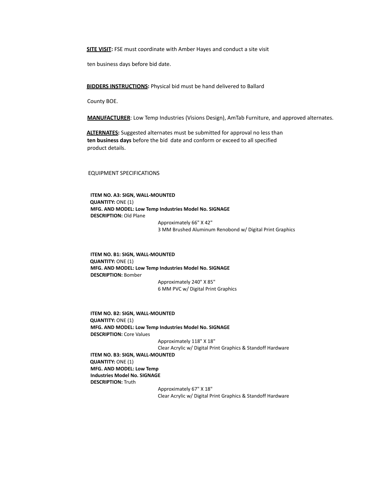**SITE VISIT:** FSE must coordinate with Amber Hayes and conduct a site visit

ten business days before bid date.

**BIDDERS INSTRUCTIONS:** Physical bid must be hand delivered to Ballard

County BOE.

**MANUFACTURER**: Low Temp Industries (Visions Design), AmTab Furniture, and approved alternates.

**ALTERNATES:** Suggested alternates must be submitted for approval no less than **ten business days** before the bid date and conform or exceed to all specified product details.

#### EQUIPMENT SPECIFICATIONS

**ITEM NO. A3: SIGN, WALL-MOUNTED QUANTITY:** ONE (1) **MFG. AND MODEL: Low Temp Industries Model No. SIGNAGE DESCRIPTION:** Old Plane

Approximately 66" X 42" 3 MM Brushed Aluminum Renobond w/ Digital Print Graphics

**ITEM NO. B1: SIGN, WALL-MOUNTED QUANTITY:** ONE (1) **MFG. AND MODEL: Low Temp Industries Model No. SIGNAGE DESCRIPTION:** Bomber Approximately 240" X 85"

6 MM PVC w/ Digital Print Graphics

**ITEM NO. B2: SIGN, WALL-MOUNTED QUANTITY:** ONE (1) **MFG. AND MODEL: Low Temp Industries Model No. SIGNAGE DESCRIPTION:** Core Values

> Approximately 118" X 18" Clear Acrylic w/ Digital Print Graphics & Standoff Hardware

**ITEM NO. B3: SIGN, WALL-MOUNTED QUANTITY:** ONE (1) **MFG. AND MODEL: Low Temp Industries Model No. SIGNAGE DESCRIPTION:** Truth

> Approximately 67" X 18" Clear Acrylic w/ Digital Print Graphics & Standoff Hardware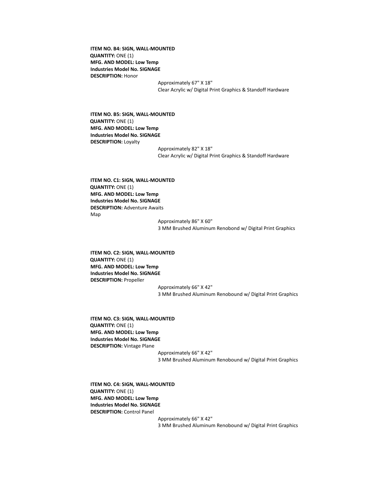**ITEM NO. B4: SIGN, WALL-MOUNTED QUANTITY:** ONE (1) **MFG. AND MODEL: Low Temp Industries Model No. SIGNAGE DESCRIPTION:** Honor

> Approximately 67" X 18" Clear Acrylic w/ Digital Print Graphics & Standoff Hardware

**ITEM NO. B5: SIGN, WALL-MOUNTED QUANTITY:** ONE (1) **MFG. AND MODEL: Low Temp Industries Model No. SIGNAGE DESCRIPTION:** Loyalty

> Approximately 82" X 18" Clear Acrylic w/ Digital Print Graphics & Standoff Hardware

**ITEM NO. C1: SIGN, WALL-MOUNTED QUANTITY:** ONE (1) **MFG. AND MODEL: Low Temp Industries Model No. SIGNAGE DESCRIPTION:** Adventure Awaits Map

> Approximately 86" X 60" 3 MM Brushed Aluminum Renobond w/ Digital Print Graphics

**ITEM NO. C2: SIGN, WALL-MOUNTED QUANTITY:** ONE (1) **MFG. AND MODEL: Low Temp Industries Model No. SIGNAGE DESCRIPTION:** Propeller

Approximately 66" X 42" 3 MM Brushed Aluminum Renobound w/ Digital Print Graphics

**ITEM NO. C3: SIGN, WALL-MOUNTED QUANTITY:** ONE (1) **MFG. AND MODEL: Low Temp Industries Model No. SIGNAGE DESCRIPTION:** Vintage Plane

> Approximately 66" X 42" 3 MM Brushed Aluminum Renobound w/ Digital Print Graphics

**ITEM NO. C4: SIGN, WALL-MOUNTED QUANTITY:** ONE (1) **MFG. AND MODEL: Low Temp Industries Model No. SIGNAGE DESCRIPTION:** Control Panel

> Approximately 66" X 42" 3 MM Brushed Aluminum Renobound w/ Digital Print Graphics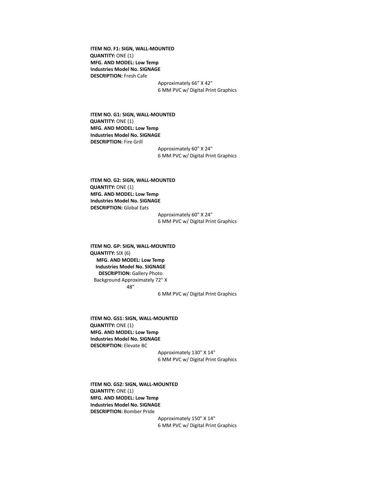**ITEM NO. F1: SIGN, WALL-MOUNTED QUANTITY:** ONE (1) **MFG. AND MODEL: Low Temp Industries Model No. SIGNAGE DESCRIPTION:** Fresh Cafe

Approximately 66" X 42" 6 MM PVC w/ Digital Print Graphics

**ITEM NO. G1: SIGN, WALL-MOUNTED QUANTITY:** ONE (1) **MFG. AND MODEL: Low Temp Industries Model No. SIGNAGE DESCRIPTION:** Fire Grill

> Approximately 60" X 24" 6 MM PVC w/ Digital Print Graphics

**ITEM NO. G2: SIGN, WALL-MOUNTED QUANTITY:** ONE (1) **MFG. AND MODEL: Low Temp Industries Model No. SIGNAGE DESCRIPTION:** Global Eats

Approximately 60" X 24" 6 MM PVC w/ Digital Print Graphics

**ITEM NO. GP: SIGN, WALL-MOUNTED QUANTITY:** SIX (6) **MFG. AND MODEL: Low Temp Industries Model No. SIGNAGE DESCRIPTION:** Gallery Photo Background Approximately 72" X 48"

6 MM PVC w/ Digital Print Graphics

**ITEM NO. GS1: SIGN, WALL-MOUNTED QUANTITY:** ONE (1) **MFG. AND MODEL: Low Temp Industries Model No. SIGNAGE DESCRIPTION:** Elevate BC

Approximately 130" X 14" 6 MM PVC w/ Digital Print Graphics

**ITEM NO. GS2: SIGN, WALL-MOUNTED QUANTITY:** ONE (1) **MFG. AND MODEL: Low Temp Industries Model No. SIGNAGE DESCRIPTION:** Bomber Pride

> Approximately 150" X 14" 6 MM PVC w/ Digital Print Graphics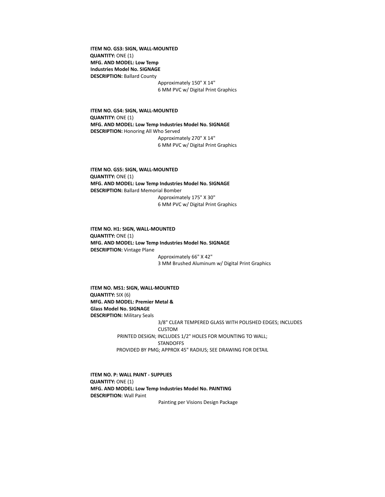**ITEM NO. GS3: SIGN, WALL-MOUNTED QUANTITY:** ONE (1) **MFG. AND MODEL: Low Temp Industries Model No. SIGNAGE DESCRIPTION:** Ballard County Approximately 150" X 14"

6 MM PVC w/ Digital Print Graphics

**ITEM NO. GS4: SIGN, WALL-MOUNTED QUANTITY:** ONE (1) **MFG. AND MODEL: Low Temp Industries Model No. SIGNAGE DESCRIPTION:** Honoring All Who Served Approximately 270" X 14" 6 MM PVC w/ Digital Print Graphics

**ITEM NO. GS5: SIGN, WALL-MOUNTED QUANTITY:** ONE (1) **MFG. AND MODEL: Low Temp Industries Model No. SIGNAGE DESCRIPTION:** Ballard Memorial Bomber Approximately 175" X 30" 6 MM PVC w/ Digital Print Graphics

**ITEM NO. H1: SIGN, WALL-MOUNTED QUANTITY:** ONE (1) **MFG. AND MODEL: Low Temp Industries Model No. SIGNAGE DESCRIPTION:** Vintage Plane Approximately 66" X 42" 3 MM Brushed Aluminum w/ Digital Print Graphics

**ITEM NO. MS1: SIGN, WALL-MOUNTED QUANTITY:** SIX (6) **MFG. AND MODEL: Premier Metal & Glass Model No. SIGNAGE DESCRIPTION:** Military Seals 3/8" CLEAR TEMPERED GLASS WITH POLISHED EDGES; INCLUDES CUSTOM PRINTED DESIGN; INCLUDES 1/2" HOLES FOR MOUNTING TO WALL; **STANDOFFS** PROVIDED BY PMG; APPROX 45" RADIUS; SEE DRAWING FOR DETAIL

**ITEM NO. P: WALL PAINT - SUPPLIES QUANTITY:** ONE (1) **MFG. AND MODEL: Low Temp Industries Model No. PAINTING DESCRIPTION:** Wall Paint

Painting per Visions Design Package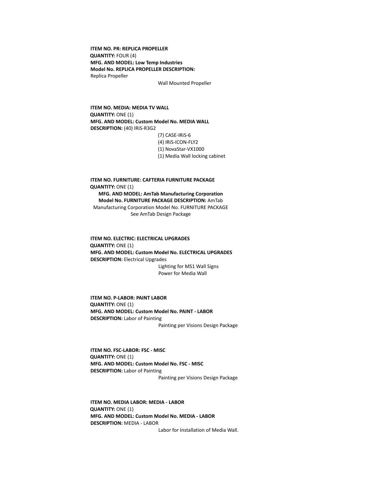**ITEM NO. PR: REPLICA PROPELLER QUANTITY:** FOUR (4) **MFG. AND MODEL: Low Temp Industries Model No. REPLICA PROPELLER DESCRIPTION:** Replica Propeller

Wall Mounted Propeller

**ITEM NO. MEDIA: MEDIA TV WALL QUANTITY:** ONE (1) **MFG. AND MODEL: Custom Model No. MEDIA WALL DESCRIPTION:** (40) IRiS-R3G2

(7) CASE-IRiS-6

- (4) IRiS-ICON-FLY2 (1) NovaStar-VX1000
- 
- (1) Media Wall locking cabinet

**ITEM NO. FURNITURE: CAFTERIA FURNITURE PACKAGE QUANTITY:** ONE (1) **MFG. AND MODEL: AmTab Manufacturing Corporation Model No. FURNITURE PACKAGE DESCRIPTION:** AmTab Manufacturing Corporation Model No. FURNITURE PACKAGE See AmTab Design Package

**ITEM NO. ELECTRIC: ELECTRICAL UPGRADES QUANTITY:** ONE (1) **MFG. AND MODEL: Custom Model No. ELECTRICAL UPGRADES DESCRIPTION:** Electrical Upgrades Lighting for MS1 Wall Signs Power for Media Wall

**ITEM NO. P-LABOR: PAINT LABOR QUANTITY:** ONE (1) **MFG. AND MODEL: Custom Model No. PAINT - LABOR DESCRIPTION:** Labor of Painting Painting per Visions Design Package

**ITEM NO. FSC-LABOR: FSC - MISC QUANTITY:** ONE (1) **MFG. AND MODEL: Custom Model No. FSC - MISC DESCRIPTION:** Labor of Painting Painting per Visions Design Package

**ITEM NO. MEDIA LABOR: MEDIA - LABOR QUANTITY:** ONE (1) **MFG. AND MODEL: Custom Model No. MEDIA - LABOR DESCRIPTION:** MEDIA - LABOR

Labor for Installation of Media Wall.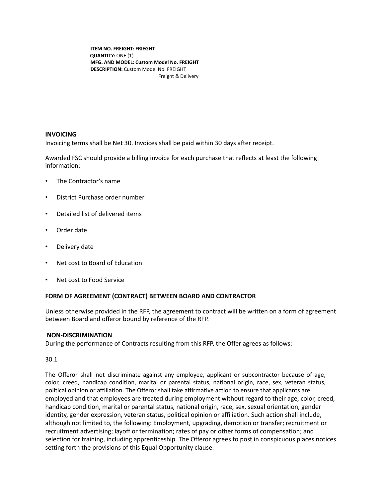**ITEM NO. FREIGHT: FRIEGHT QUANTITY:** ONE (1) **MFG. AND MODEL: Custom Model No. FREIGHT DESCRIPTION:** Custom Model No. FREIGHT Freight & Delivery

## **INVOICING**

Invoicing terms shall be Net 30. Invoices shall be paid within 30 days after receipt.

Awarded FSC should provide a billing invoice for each purchase that reflects at least the following information:

- The Contractor's name
- District Purchase order number
- Detailed list of delivered items
- Order date
- Delivery date
- Net cost to Board of Education
- Net cost to Food Service

### **FORM OF AGREEMENT (CONTRACT) BETWEEN BOARD AND CONTRACTOR**

Unless otherwise provided in the RFP, the agreement to contract will be written on a form of agreement between Board and offeror bound by reference of the RFP.

### **NON-DISCRIMINATION**

During the performance of Contracts resulting from this RFP, the Offer agrees as follows:

30.1

The Offeror shall not discriminate against any employee, applicant or subcontractor because of age, color, creed, handicap condition, marital or parental status, national origin, race, sex, veteran status, political opinion or affiliation. The Offeror shall take affirmative action to ensure that applicants are employed and that employees are treated during employment without regard to their age, color, creed, handicap condition, marital or parental status, national origin, race, sex, sexual orientation, gender identity, gender expression, veteran status, political opinion or affiliation. Such action shall include, although not limited to, the following: Employment, upgrading, demotion or transfer; recruitment or recruitment advertising; layoff or termination; rates of pay or other forms of compensation; and selection for training, including apprenticeship. The Offeror agrees to post in conspicuous places notices setting forth the provisions of this Equal Opportunity clause.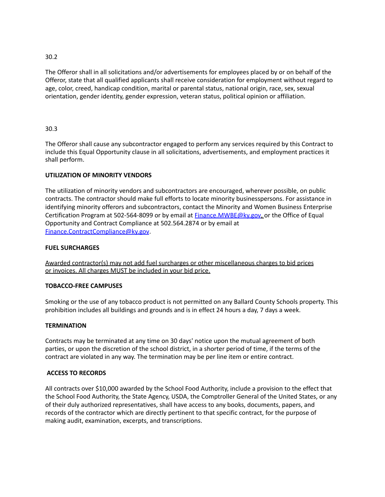## 30.2

The Offeror shall in all solicitations and/or advertisements for employees placed by or on behalf of the Offeror, state that all qualified applicants shall receive consideration for employment without regard to age, color, creed, handicap condition, marital or parental status, national origin, race, sex, sexual orientation, gender identity, gender expression, veteran status, political opinion or affiliation.

## 30.3

The Offeror shall cause any subcontractor engaged to perform any services required by this Contract to include this Equal Opportunity clause in all solicitations, advertisements, and employment practices it shall perform.

# **UTILIZATION OF MINORITY VENDORS**

The utilization of minority vendors and subcontractors are encouraged, wherever possible, on public contracts. The contractor should make full efforts to locate minority businesspersons. For assistance in identifying minority offerors and subcontractors, contact the Minority and Women Business Enterprise Certification Program at 502-564-8099 or by email at **Finance.MWBE@ky.gov**, or the Office of Equal Opportunity and Contract Compliance at 502.564.2874 or by email at [Finance.ContractCompliance@ky.gov.](mailto:Finance.ContractCompliance@ky.gov)

## **FUEL SURCHARGES**

Awarded contractor(s) may not add fuel surcharges or other miscellaneous charges to bid prices or invoices. All charges MUST be included in your bid price.

## **TOBACCO-FREE CAMPUSES**

Smoking or the use of any tobacco product is not permitted on any Ballard County Schools property. This prohibition includes all buildings and grounds and is in effect 24 hours a day, 7 days a week.

## **TERMINATION**

Contracts may be terminated at any time on 30 days' notice upon the mutual agreement of both parties, or upon the discretion of the school district, in a shorter period of time, if the terms of the contract are violated in any way. The termination may be per line item or entire contract.

## **ACCESS TO RECORDS**

All contracts over \$10,000 awarded by the School Food Authority, include a provision to the effect that the School Food Authority, the State Agency, USDA, the Comptroller General of the United States, or any of their duly authorized representatives, shall have access to any books, documents, papers, and records of the contractor which are directly pertinent to that specific contract, for the purpose of making audit, examination, excerpts, and transcriptions.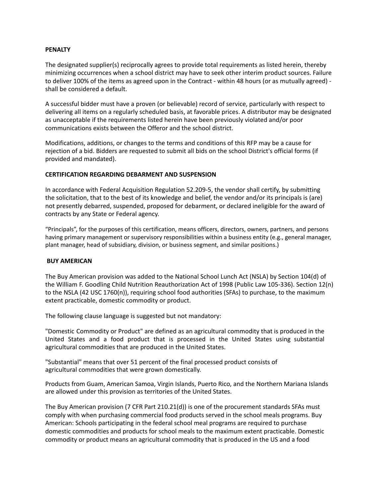#### **PENALTY**

The designated supplier(s) reciprocally agrees to provide total requirements as listed herein, thereby minimizing occurrences when a school district may have to seek other interim product sources. Failure to deliver 100% of the items as agreed upon in the Contract - within 48 hours (or as mutually agreed) shall be considered a default.

A successful bidder must have a proven (or believable) record of service, particularly with respect to delivering all items on a regularly scheduled basis, at favorable prices. A distributor may be designated as unacceptable if the requirements listed herein have been previously violated and/or poor communications exists between the Offeror and the school district.

Modifications, additions, or changes to the terms and conditions of this RFP may be a cause for rejection of a bid. Bidders are requested to submit all bids on the school District's official forms (if provided and mandated).

#### **CERTIFICATION REGARDING DEBARMENT AND SUSPENSION**

In accordance with Federal Acquisition Regulation 52.209-5, the vendor shall certify, by submitting the solicitation, that to the best of its knowledge and belief, the vendor and/or its principals is (are) not presently debarred, suspended, proposed for debarment, or declared ineligible for the award of contracts by any State or Federal agency.

"Principals", for the purposes of this certification, means officers, directors, owners, partners, and persons having primary management or supervisory responsibilities within a business entity (e.g., general manager, plant manager, head of subsidiary, division, or business segment, and similar positions.)

#### **BUY AMERICAN**

The Buy American provision was added to the National School Lunch Act (NSLA) by Section 104(d) of the William F. Goodling Child Nutrition Reauthorization Act of 1998 (Public Law 105-336). Section 12(n) to the NSLA (42 USC 1760(n)), requiring school food authorities (SFAs) to purchase, to the maximum extent practicable, domestic commodity or product.

The following clause language is suggested but not mandatory:

"Domestic Commodity or Product" are defined as an agricultural commodity that is produced in the United States and a food product that is processed in the United States using substantial agricultural commodities that are produced in the United States.

"Substantial" means that over 51 percent of the final processed product consists of agricultural commodities that were grown domestically.

Products from Guam, American Samoa, Virgin Islands, Puerto Rico, and the Northern Mariana Islands are allowed under this provision as territories of the United States.

The Buy American provision (7 CFR Part 210.21(d)) is one of the procurement standards SFAs must comply with when purchasing commercial food products served in the school meals programs. Buy American: Schools participating in the federal school meal programs are required to purchase domestic commodities and products for school meals to the maximum extent practicable. Domestic commodity or product means an agricultural commodity that is produced in the US and a food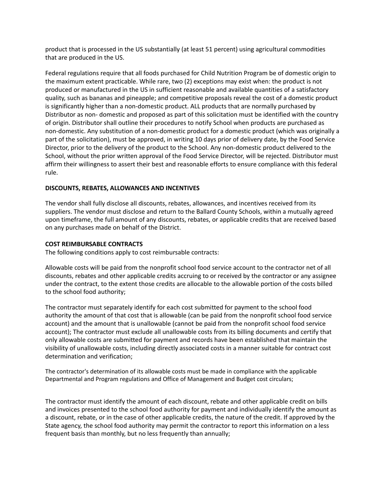product that is processed in the US substantially (at least 51 percent) using agricultural commodities that are produced in the US.

Federal regulations require that all foods purchased for Child Nutrition Program be of domestic origin to the maximum extent practicable. While rare, two (2) exceptions may exist when: the product is not produced or manufactured in the US in sufficient reasonable and available quantities of a satisfactory quality, such as bananas and pineapple; and competitive proposals reveal the cost of a domestic product is significantly higher than a non-domestic product. ALL products that are normally purchased by Distributor as non- domestic and proposed as part of this solicitation must be identified with the country of origin. Distributor shall outline their procedures to notify School when products are purchased as non-domestic. Any substitution of a non-domestic product for a domestic product (which was originally a part of the solicitation), must be approved, in writing 10 days prior of delivery date, by the Food Service Director, prior to the delivery of the product to the School. Any non-domestic product delivered to the School, without the prior written approval of the Food Service Director, will be rejected. Distributor must affirm their willingness to assert their best and reasonable efforts to ensure compliance with this federal rule.

## **DISCOUNTS, REBATES, ALLOWANCES AND INCENTIVES**

The vendor shall fully disclose all discounts, rebates, allowances, and incentives received from its suppliers. The vendor must disclose and return to the Ballard County Schools, within a mutually agreed upon timeframe, the full amount of any discounts, rebates, or applicable credits that are received based on any purchases made on behalf of the District.

## **COST REIMBURSABLE CONTRACTS**

The following conditions apply to cost reimbursable contracts:

Allowable costs will be paid from the nonprofit school food service account to the contractor net of all discounts, rebates and other applicable credits accruing to or received by the contractor or any assignee under the contract, to the extent those credits are allocable to the allowable portion of the costs billed to the school food authority;

The contractor must separately identify for each cost submitted for payment to the school food authority the amount of that cost that is allowable (can be paid from the nonprofit school food service account) and the amount that is unallowable (cannot be paid from the nonprofit school food service account); The contractor must exclude all unallowable costs from its billing documents and certify that only allowable costs are submitted for payment and records have been established that maintain the visibility of unallowable costs, including directly associated costs in a manner suitable for contract cost determination and verification;

The contractor's determination of its allowable costs must be made in compliance with the applicable Departmental and Program regulations and Office of Management and Budget cost circulars;

The contractor must identify the amount of each discount, rebate and other applicable credit on bills and invoices presented to the school food authority for payment and individually identify the amount as a discount, rebate, or in the case of other applicable credits, the nature of the credit. If approved by the State agency, the school food authority may permit the contractor to report this information on a less frequent basis than monthly, but no less frequently than annually;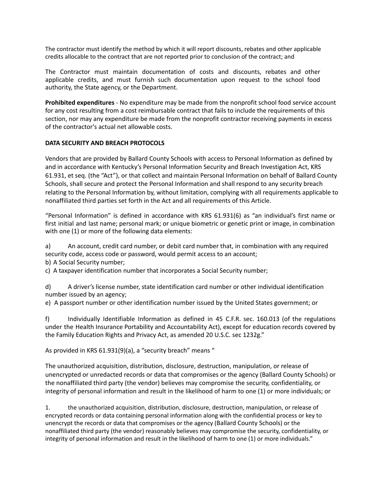The contractor must identify the method by which it will report discounts, rebates and other applicable credits allocable to the contract that are not reported prior to conclusion of the contract; and

The Contractor must maintain documentation of costs and discounts, rebates and other applicable credits, and must furnish such documentation upon request to the school food authority, the State agency, or the Department.

**Prohibited expenditures** - No expenditure may be made from the nonprofit school food service account for any cost resulting from a cost reimbursable contract that fails to include the requirements of this section, nor may any expenditure be made from the nonprofit contractor receiving payments in excess of the contractor's actual net allowable costs.

## **DATA SECURITY AND BREACH PROTOCOLS**

Vendors that are provided by Ballard County Schools with access to Personal Information as defined by and in accordance with Kentucky's Personal Information Security and Breach Investigation Act, KRS 61.931, et seq. (the "Act"), or that collect and maintain Personal Information on behalf of Ballard County Schools, shall secure and protect the Personal Information and shall respond to any security breach relating to the Personal Information by, without limitation, complying with all requirements applicable to nonaffiliated third parties set forth in the Act and all requirements of this Article.

"Personal Information" is defined in accordance with KRS 61.931(6) as "an individual's first name or first initial and last name; personal mark; or unique biometric or genetic print or image, in combination with one (1) or more of the following data elements:

a) An account, credit card number, or debit card number that, in combination with any required security code, access code or password, would permit access to an account;

b) A Social Security number;

c) A taxpayer identification number that incorporates a Social Security number;

d) A driver's license number, state identification card number or other individual identification number issued by an agency;

e) A passport number or other identification number issued by the United States government; or

f) Individually Identifiable Information as defined in 45 C.F.R. sec. 160.013 (of the regulations under the Health Insurance Portability and Accountability Act), except for education records covered by the Family Education Rights and Privacy Act, as amended 20 U.S.C. sec 1232g."

As provided in KRS 61.931(9)(a), a "security breach" means "

The unauthorized acquisition, distribution, disclosure, destruction, manipulation, or release of unencrypted or unredacted records or data that compromises or the agency (Ballard County Schools) or the nonaffiliated third party (the vendor) believes may compromise the security, confidentiality, or integrity of personal information and result in the likelihood of harm to one (1) or more individuals; or

1. the unauthorized acquisition, distribution, disclosure, destruction, manipulation, or release of encrypted records or data containing personal information along with the confidential process or key to unencrypt the records or data that compromises or the agency (Ballard County Schools) or the nonaffiliated third party (the vendor) reasonably believes may compromise the security, confidentiality, or integrity of personal information and result in the likelihood of harm to one (1) or more individuals."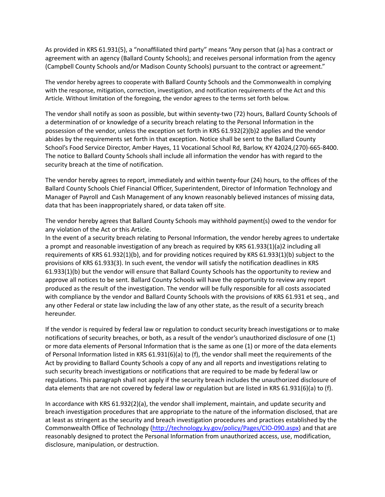As provided in KRS 61.931(5), a "nonaffiliated third party" means "Any person that (a) has a contract or agreement with an agency (Ballard County Schools); and receives personal information from the agency (Campbell County Schools and/or Madison County Schools) pursuant to the contract or agreement."

The vendor hereby agrees to cooperate with Ballard County Schools and the Commonwealth in complying with the response, mitigation, correction, investigation, and notification requirements of the Act and this Article. Without limitation of the foregoing, the vendor agrees to the terms set forth below.

The vendor shall notify as soon as possible, but within seventy-two (72) hours, Ballard County Schools of a determination of or knowledge of a security breach relating to the Personal Information in the possession of the vendor, unless the exception set forth in KRS 61.932(2)(b)2 applies and the vendor abides by the requirements set forth in that exception. Notice shall be sent to the Ballard County School's Food Service Director, Amber Hayes, 11 Vocational School Rd, Barlow, KY 42024,(270)-665-8400. The notice to Ballard County Schools shall include all information the vendor has with regard to the security breach at the time of notification.

The vendor hereby agrees to report, immediately and within twenty-four (24) hours, to the offices of the Ballard County Schools Chief Financial Officer, Superintendent, Director of Information Technology and Manager of Payroll and Cash Management of any known reasonably believed instances of missing data, data that has been inappropriately shared, or data taken off site.

The vendor hereby agrees that Ballard County Schools may withhold payment(s) owed to the vendor for any violation of the Act or this Article.

In the event of a security breach relating to Personal Information, the vendor hereby agrees to undertake a prompt and reasonable investigation of any breach as required by KRS 61.933(1)(a)2 including all requirements of KRS 61.932(1)(b), and for providing notices required by KRS 61.933(1)(b) subject to the provisions of KRS 61.933(3). In such event, the vendor will satisfy the notification deadlines in KRS 61.933(1)(b) but the vendor will ensure that Ballard County Schools has the opportunity to review and approve all notices to be sent. Ballard County Schools will have the opportunity to review any report produced as the result of the investigation. The vendor will be fully responsible for all costs associated with compliance by the vendor and Ballard County Schools with the provisions of KRS 61.931 et seq., and any other Federal or state law including the law of any other state, as the result of a security breach hereunder.

If the vendor is required by federal law or regulation to conduct security breach investigations or to make notifications of security breaches, or both, as a result of the vendor's unauthorized disclosure of one (1) or more data elements of Personal Information that is the same as one (1) or more of the data elements of Personal Information listed in KRS 61.931(6)(a) to (f), the vendor shall meet the requirements of the Act by providing to Ballard County Schools a copy of any and all reports and investigations relating to such security breach investigations or notifications that are required to be made by federal law or regulations. This paragraph shall not apply if the security breach includes the unauthorized disclosure of data elements that are not covered by federal law or regulation but are listed in KRS 61.931(6)(a) to (f).

In accordance with KRS 61.932(2)(a), the vendor shall implement, maintain, and update security and breach investigation procedures that are appropriate to the nature of the information disclosed, that are at least as stringent as the security and breach investigation procedures and practices established by the Commonwealth Office of Technology [\(http://technology.ky.gov/policy/Pages/CIO-090.aspx\)](http://technology.ky.gov/policy/Pages/CIO-090.aspx) and that are reasonably designed to protect the Personal Information from unauthorized access, use, modification, disclosure, manipulation, or destruction.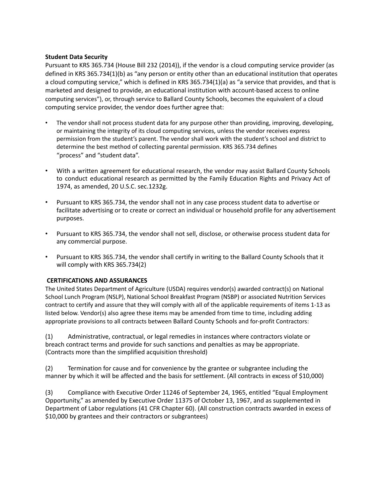### **Student Data Security**

Pursuant to KRS 365.734 (House Bill 232 (2014)), if the vendor is a cloud computing service provider (as defined in KRS 365.734(1)(b) as "any person or entity other than an educational institution that operates a cloud computing service," which is defined in KRS 365.734(1)(a) as "a service that provides, and that is marketed and designed to provide, an educational institution with account-based access to online computing services"), or, through service to Ballard County Schools, becomes the equivalent of a cloud computing service provider, the vendor does further agree that:

- The vendor shall not process student data for any purpose other than providing, improving, developing, or maintaining the integrity of its cloud computing services, unless the vendor receives express permission from the student's parent. The vendor shall work with the student's school and district to determine the best method of collecting parental permission. KRS 365.734 defines "process" and "student data".
- With a written agreement for educational research, the vendor may assist Ballard County Schools to conduct educational research as permitted by the Family Education Rights and Privacy Act of 1974, as amended, 20 U.S.C. sec.1232g.
- Pursuant to KRS 365.734, the vendor shall not in any case process student data to advertise or facilitate advertising or to create or correct an individual or household profile for any advertisement purposes.
- Pursuant to KRS 365.734, the vendor shall not sell, disclose, or otherwise process student data for any commercial purpose.
- Pursuant to KRS 365.734, the vendor shall certify in writing to the Ballard County Schools that it will comply with KRS 365.734(2)

## **CERTIFICATIONS AND ASSURANCES**

The United States Department of Agriculture (USDA) requires vendor(s) awarded contract(s) on National School Lunch Program (NSLP), National School Breakfast Program (NSBP) or associated Nutrition Services contract to certify and assure that they will comply with all of the applicable requirements of items 1-13 as listed below. Vendor(s) also agree these items may be amended from time to time, including adding appropriate provisions to all contracts between Ballard County Schools and for-profit Contractors:

(1) Administrative, contractual, or legal remedies in instances where contractors violate or breach contract terms and provide for such sanctions and penalties as may be appropriate. (Contracts more than the simplified acquisition threshold)

(2) Termination for cause and for convenience by the grantee or subgrantee including the manner by which it will be affected and the basis for settlement. (All contracts in excess of \$10,000)

(3) Compliance with Executive Order 11246 of September 24, 1965, entitled "Equal Employment Opportunity," as amended by Executive Order 11375 of October 13, 1967, and as supplemented in Department of Labor regulations (41 CFR Chapter 60). (All construction contracts awarded in excess of \$10,000 by grantees and their contractors or subgrantees)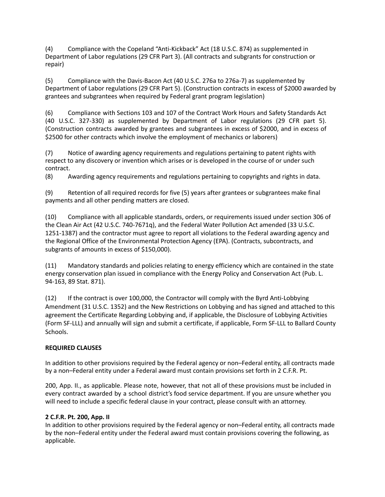(4) Compliance with the Copeland "Anti-Kickback" Act (18 U.S.C. 874) as supplemented in Department of Labor regulations (29 CFR Part 3). (All contracts and subgrants for construction or repair)

(5) Compliance with the Davis-Bacon Act (40 U.S.C. 276a to 276a-7) as supplemented by Department of Labor regulations (29 CFR Part 5). (Construction contracts in excess of \$2000 awarded by grantees and subgrantees when required by Federal grant program legislation)

(6) Compliance with Sections 103 and 107 of the Contract Work Hours and Safety Standards Act (40 U.S.C. 327-330) as supplemented by Department of Labor regulations (29 CFR part 5). (Construction contracts awarded by grantees and subgrantees in excess of \$2000, and in excess of \$2500 for other contracts which involve the employment of mechanics or laborers)

(7) Notice of awarding agency requirements and regulations pertaining to patent rights with respect to any discovery or invention which arises or is developed in the course of or under such contract.

(8) Awarding agency requirements and regulations pertaining to copyrights and rights in data.

(9) Retention of all required records for five (5) years after grantees or subgrantees make final payments and all other pending matters are closed.

(10) Compliance with all applicable standards, orders, or requirements issued under section 306 of the Clean Air Act (42 U.S.C. 740-7671q), and the Federal Water Pollution Act amended (33 U.S.C. 1251-1387) and the contractor must agree to report all violations to the Federal awarding agency and the Regional Office of the Environmental Protection Agency (EPA). (Contracts, subcontracts, and subgrants of amounts in excess of \$150,000).

(11) Mandatory standards and policies relating to energy efficiency which are contained in the state energy conservation plan issued in compliance with the Energy Policy and Conservation Act (Pub. L. 94-163, 89 Stat. 871).

(12) If the contract is over 100,000, the Contractor will comply with the Byrd Anti-Lobbying Amendment (31 U.S.C. 1352) and the New Restrictions on Lobbying and has signed and attached to this agreement the Certificate Regarding Lobbying and, if applicable, the Disclosure of Lobbying Activities (Form SF-LLL) and annually will sign and submit a certificate, if applicable, Form SF-LLL to Ballard County Schools.

## **REQUIRED CLAUSES**

In addition to other provisions required by the Federal agency or non–Federal entity, all contracts made by a non–Federal entity under a Federal award must contain provisions set forth in 2 C.F.R. Pt.

200, App. II., as applicable. Please note, however, that not all of these provisions must be included in every contract awarded by a school district's food service department. If you are unsure whether you will need to include a specific federal clause in your contract, please consult with an attorney.

## **2 C.F.R. Pt. 200, App. II**

In addition to other provisions required by the Federal agency or non–Federal entity, all contracts made by the non–Federal entity under the Federal award must contain provisions covering the following, as applicable.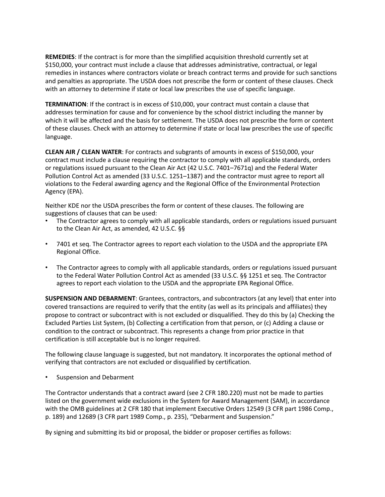**REMEDIES**: If the contract is for more than the simplified acquisition threshold currently set at \$150,000, your contract must include a clause that addresses administrative, contractual, or legal remedies in instances where contractors violate or breach contract terms and provide for such sanctions and penalties as appropriate. The USDA does not prescribe the form or content of these clauses. Check with an attorney to determine if state or local law prescribes the use of specific language.

**TERMINATION**: If the contract is in excess of \$10,000, your contract must contain a clause that addresses termination for cause and for convenience by the school district including the manner by which it will be affected and the basis for settlement. The USDA does not prescribe the form or content of these clauses. Check with an attorney to determine if state or local law prescribes the use of specific language.

**CLEAN AIR / CLEAN WATER**: For contracts and subgrants of amounts in excess of \$150,000, your contract must include a clause requiring the contractor to comply with all applicable standards, orders or regulations issued pursuant to the Clean Air Act (42 U.S.C. 7401–7671q) and the Federal Water Pollution Control Act as amended (33 U.S.C. 1251–1387) and the contractor must agree to report all violations to the Federal awarding agency and the Regional Office of the Environmental Protection Agency (EPA).

Neither KDE nor the USDA prescribes the form or content of these clauses. The following are suggestions of clauses that can be used:

- The Contractor agrees to comply with all applicable standards, orders or regulations issued pursuant to the Clean Air Act, as amended, 42 U.S.C. §§
- 7401 et seq. The Contractor agrees to report each violation to the USDA and the appropriate EPA Regional Office.
- The Contractor agrees to comply with all applicable standards, orders or regulations issued pursuant to the Federal Water Pollution Control Act as amended (33 U.S.C. §§ 1251 et seq. The Contractor agrees to report each violation to the USDA and the appropriate EPA Regional Office.

**SUSPENSION AND DEBARMENT**: Grantees, contractors, and subcontractors (at any level) that enter into covered transactions are required to verify that the entity (as well as its principals and affiliates) they propose to contract or subcontract with is not excluded or disqualified. They do this by (a) Checking the Excluded Parties List System, (b) Collecting a certification from that person, or (c) Adding a clause or condition to the contract or subcontract. This represents a change from prior practice in that certification is still acceptable but is no longer required.

The following clause language is suggested, but not mandatory. It incorporates the optional method of verifying that contractors are not excluded or disqualified by certification.

• Suspension and Debarment

The Contractor understands that a contract award (see 2 CFR 180.220) must not be made to parties listed on the government wide exclusions in the System for Award Management (SAM), in accordance with the OMB guidelines at 2 CFR 180 that implement Executive Orders 12549 (3 CFR part 1986 Comp., p. 189) and 12689 (3 CFR part 1989 Comp., p. 235), "Debarment and Suspension."

By signing and submitting its bid or proposal, the bidder or proposer certifies as follows: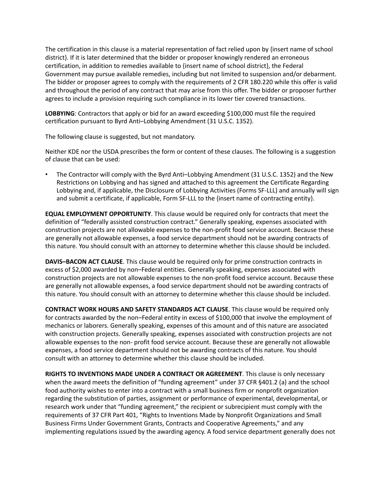The certification in this clause is a material representation of fact relied upon by {insert name of school district}. If it is later determined that the bidder or proposer knowingly rendered an erroneous certification, in addition to remedies available to {insert name of school district}, the Federal Government may pursue available remedies, including but not limited to suspension and/or debarment. The bidder or proposer agrees to comply with the requirements of 2 CFR 180.220 while this offer is valid and throughout the period of any contract that may arise from this offer. The bidder or proposer further agrees to include a provision requiring such compliance in its lower tier covered transactions.

**LOBBYING**: Contractors that apply or bid for an award exceeding \$100,000 must file the required certification pursuant to Byrd Anti–Lobbying Amendment (31 U.S.C. 1352).

The following clause is suggested, but not mandatory.

Neither KDE nor the USDA prescribes the form or content of these clauses. The following is a suggestion of clause that can be used:

• The Contractor will comply with the Byrd Anti–Lobbying Amendment (31 U.S.C. 1352) and the New Restrictions on Lobbying and has signed and attached to this agreement the Certificate Regarding Lobbying and, if applicable, the Disclosure of Lobbying Activities (Forms SF-LLL) and annually will sign and submit a certificate, if applicable, Form SF-LLL to the {insert name of contracting entity}.

**EQUAL EMPLOYMENT OPPORTUNITY**. This clause would be required only for contracts that meet the definition of "federally assisted construction contract." Generally speaking, expenses associated with construction projects are not allowable expenses to the non-profit food service account. Because these are generally not allowable expenses, a food service department should not be awarding contracts of this nature. You should consult with an attorney to determine whether this clause should be included.

**DAVIS–BACON ACT CLAUSE**. This clause would be required only for prime construction contracts in excess of \$2,000 awarded by non–Federal entities. Generally speaking, expenses associated with construction projects are not allowable expenses to the non-profit food service account. Because these are generally not allowable expenses, a food service department should not be awarding contracts of this nature. You should consult with an attorney to determine whether this clause should be included.

**CONTRACT WORK HOURS AND SAFETY STANDARDS ACT CLAUSE**. This clause would be required only for contracts awarded by the non–Federal entity in excess of \$100,000 that involve the employment of mechanics or laborers. Generally speaking, expenses of this amount and of this nature are associated with construction projects. Generally speaking, expenses associated with construction projects are not allowable expenses to the non- profit food service account. Because these are generally not allowable expenses, a food service department should not be awarding contracts of this nature. You should consult with an attorney to determine whether this clause should be included.

**RIGHTS TO INVENTIONS MADE UNDER A CONTRACT OR AGREEMENT**. This clause is only necessary when the award meets the definition of "funding agreement" under 37 CFR §401.2 (a) and the school food authority wishes to enter into a contract with a small business firm or nonprofit organization regarding the substitution of parties, assignment or performance of experimental, developmental, or research work under that "funding agreement," the recipient or subrecipient must comply with the requirements of 37 CFR Part 401, "Rights to Inventions Made by Nonprofit Organizations and Small Business Firms Under Government Grants, Contracts and Cooperative Agreements," and any implementing regulations issued by the awarding agency. A food service department generally does not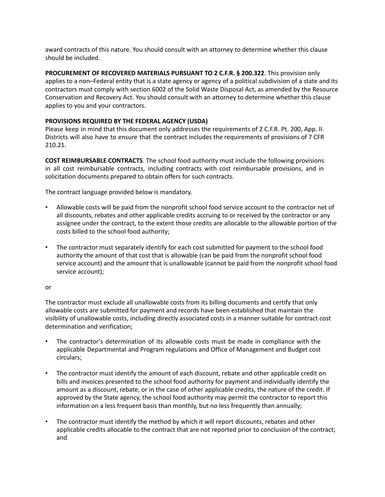award contracts of this nature. You should consult with an attorney to determine whether this clause should be included.

**PROCUREMENT OF RECOVERED MATERIALS PURSUANT TO 2 C.F.R. § 200.322**. This provision only applies to a non–Federal entity that is a state agency or agency of a political subdivision of a state and its contractors must comply with section 6002 of the Solid Waste Disposal Act, as amended by the Resource Conservation and Recovery Act. You should consult with an attorney to determine whether this clause applies to you and your contractors.

## **PROVISIONS REQUIRED BY THE FEDERAL AGENCY (USDA)**

Please keep in mind that this document only addresses the requirements of 2 C.F.R. Pt. 200, App. II. Districts will also have to ensure that the contract includes the requirements of provisions of 7 CFR 210.21.

**COST REIMBURSABLE CONTRACTS**. The school food authority must include the following provisions in all cost reimbursable contracts, including contracts with cost reimbursable provisions, and in solicitation documents prepared to obtain offers for such contracts.

The contract language provided below is mandatory.

- Allowable costs will be paid from the nonprofit school food service account to the contractor net of all discounts, rebates and other applicable credits accruing to or received by the contractor or any assignee under the contract, to the extent those credits are allocable to the allowable portion of the costs billed to the school food authority;
- The contractor must separately identify for each cost submitted for payment to the school food authority the amount of that cost that is allowable (can be paid from the nonprofit school food service account) and the amount that is unallowable (cannot be paid from the nonprofit school food service account);

### or

The contractor must exclude all unallowable costs from its billing documents and certify that only allowable costs are submitted for payment and records have been established that maintain the visibility of unallowable costs, including directly associated costs in a manner suitable for contract cost determination and verification;

- The contractor's determination of its allowable costs must be made in compliance with the applicable Departmental and Program regulations and Office of Management and Budget cost circulars;
- The contractor must identify the amount of each discount, rebate and other applicable credit on bills and invoices presented to the school food authority for payment and individually identify the amount as a discount, rebate, or in the case of other applicable credits, the nature of the credit. If approved by the State agency, the school food authority may permit the contractor to report this information on a less frequent basis than monthly, but no less frequently than annually;
- The contractor must identify the method by which it will report discounts, rebates and other applicable credits allocable to the contract that are not reported prior to conclusion of the contract; and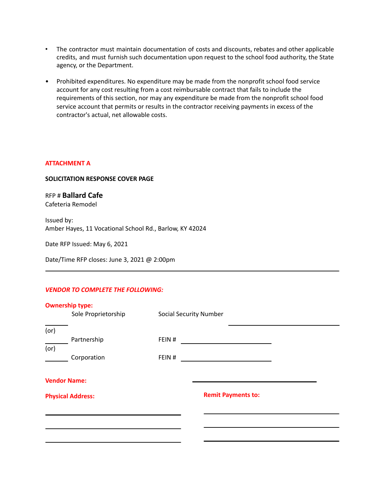- The contractor must maintain documentation of costs and discounts, rebates and other applicable credits, and must furnish such documentation upon request to the school food authority, the State agency, or the Department.
- Prohibited expenditures. No expenditure may be made from the nonprofit school food service account for any cost resulting from a cost reimbursable contract that fails to include the requirements of this section, nor may any expenditure be made from the nonprofit school food service account that permits or results in the contractor receiving payments in excess of the contractor's actual, net allowable costs.

## **ATTACHMENT A**

### **SOLICITATION RESPONSE COVER PAGE**

RFP # **Ballard Cafe** Cafeteria Remodel

Issued by: Amber Hayes, 11 Vocational School Rd., Barlow, KY 42024

Date RFP Issued: May 6, 2021

Date/Time RFP closes: June 3, 2021 @ 2:00pm

### *VENDOR TO COMPLETE THE FOLLOWING:*

|      | <b>Ownership type:</b>   |                               |                           |  |
|------|--------------------------|-------------------------------|---------------------------|--|
|      | Sole Proprietorship      | <b>Social Security Number</b> |                           |  |
|      |                          |                               |                           |  |
| (or) |                          |                               |                           |  |
|      | Partnership              | FEIN#                         |                           |  |
| (or) |                          |                               |                           |  |
|      | Corporation              | FEIN#                         |                           |  |
|      |                          |                               |                           |  |
|      | <b>Vendor Name:</b>      |                               |                           |  |
|      | <b>Physical Address:</b> |                               | <b>Remit Payments to:</b> |  |
|      |                          |                               |                           |  |
|      |                          |                               |                           |  |
|      |                          |                               |                           |  |
|      |                          |                               |                           |  |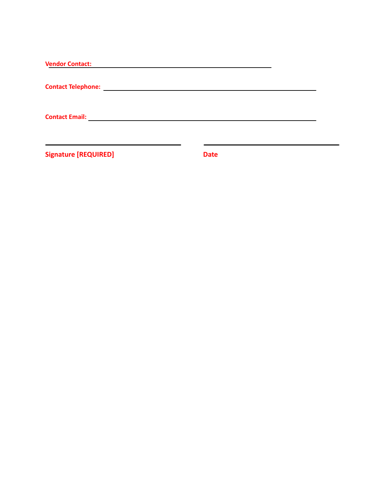| <b>Vendor Contact:</b>                                                    |  |
|---------------------------------------------------------------------------|--|
| <b>Contact Telephone:</b><br><u> 1980 - Jan Samuel Barbara, martin di</u> |  |
| <b>Contact Email: Contact Email:</b>                                      |  |
|                                                                           |  |

**Signature [REQUIRED] Date**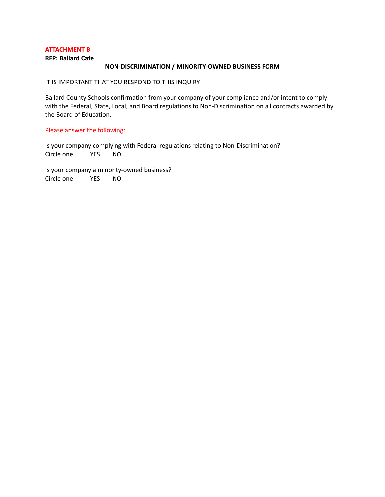### **ATTACHMENT B**

**RFP: Ballard Cafe**

### **NON-DISCRIMINATION / MINORITY-OWNED BUSINESS FORM**

IT IS IMPORTANT THAT YOU RESPOND TO THIS INQUIRY

Ballard County Schools confirmation from your company of your compliance and/or intent to comply with the Federal, State, Local, and Board regulations to Non-Discrimination on all contracts awarded by the Board of Education.

### Please answer the following:

Is your company complying with Federal regulations relating to Non-Discrimination? Circle one YES NO

Is your company a minority-owned business? Circle one YES NO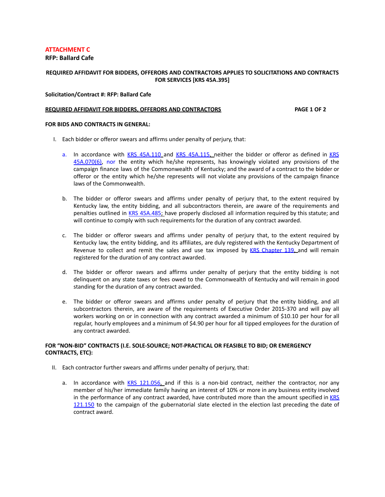### **ATTACHMENT C**

#### **RFP: Ballard Cafe**

### **REQUIRED AFFIDAVIT FOR BIDDERS, OFFERORS AND CONTRACTORS APPLIES TO SOLICITATIONS AND CONTRACTS FOR SERVICES [KRS 45A.395]**

#### **Solicitation/Contract #: RFP: Ballard Cafe**

#### **REQUIRED AFFIDAVIT FOR BIDDERS, OFFERORS AND CONTRACTORS PAGE 1 OF 2**

#### **FOR BIDS AND CONTRACTS IN GENERAL:**

- I. Each bidder or offeror swears and affirms under penalty of perjury, that:
	- a. In accordance with KRS [45A.110](http://www.lrc.state.ky.us/KRS/045A00/110.PDF) and KRS [45A.115,](http://www.lrc.state.ky.us/KRS/045A00/115.PDF) neither the bidder or offeror as defined in [KRS](http://www.lrc.state.ky.us/KRS/045A00/070.PDF) [45A.070\(6\),](http://www.lrc.state.ky.us/KRS/045A00/070.PDF) nor the entity which he/she represents, has knowingly violated any provisions of the campaign finance laws of the Commonwealth of Kentucky; and the award of a contract to the bidder or offeror or the entity which he/she represents will not violate any provisions of the campaign finance laws of the Commonwealth.
	- b. The bidder or offeror swears and affirms under penalty of perjury that, to the extent required by Kentucky law, the entity bidding, and all subcontractors therein, are aware of the requirements and penalties outlined in KRS [45A.485;](http://www.lrc.state.ky.us/KRS/045A00/485.PDF) have properly disclosed all information required by this statute; and will continue to comply with such requirements for the duration of any contract awarded.
	- c. The bidder or offeror swears and affirms under penalty of perjury that, to the extent required by Kentucky law, the entity bidding, and its affiliates, are duly registered with the Kentucky Department of Revenue to collect and remit the sales and use tax imposed by KRS [Chapter](http://www.lrc.ky.gov/KRS/139-00/CHAPTER.HTM) 139, and will remain registered for the duration of any contract awarded.
	- d. The bidder or offeror swears and affirms under penalty of perjury that the entity bidding is not delinquent on any state taxes or fees owed to the Commonwealth of Kentucky and will remain in good standing for the duration of any contract awarded.
	- e. The bidder or offeror swears and affirms under penalty of perjury that the entity bidding, and all subcontractors therein, are aware of the requirements of Executive Order 2015-370 and will pay all workers working on or in connection with any contract awarded a minimum of \$10.10 per hour for all regular, hourly employees and a minimum of \$4.90 per hour for all tipped employees for the duration of any contract awarded.

#### **FOR "NON-BID" CONTRACTS (I.E. SOLE-SOURCE; NOT-PRACTICAL OR FEASIBLE TO BID; OR EMERGENCY CONTRACTS, ETC):**

- II. Each contractor further swears and affirms under penalty of perjury, that:
	- a. In accordance with KRS [121.056,](http://www.lrc.ky.gov/KRS/121-00/056.PDF) and if this is a non-bid contract, neither the contractor, nor any member of his/her immediate family having an interest of 10% or more in any business entity involved in the performance of any contract awarded, have contributed more than the amount specified in [KRS](http://www.lrc.ky.gov/KRS/121-00/150.PDF) [121.150](http://www.lrc.ky.gov/KRS/121-00/150.PDF) to the campaign of the gubernatorial slate elected in the election last preceding the date of contract award.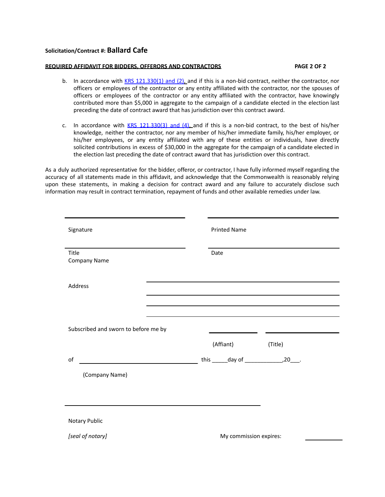### **Solicitation/Contract #: Ballard Cafe**

#### **REQUIRED AFFIDAVIT FOR BIDDERS, OFFERORS AND CONTRACTORS PAGE 2 OF 2**

- b. In accordance with KRS [121.330\(1\)](http://www.lrc.ky.gov/KRS/121-00/330.PDF) and (2), and if this is a non-bid contract, neither the contractor, nor officers or employees of the contractor or any entity affiliated with the contractor, nor the spouses of officers or employees of the contractor or any entity affiliated with the contractor, have knowingly contributed more than \$5,000 in aggregate to the campaign of a candidate elected in the election last preceding the date of contract award that has jurisdiction over this contract award.
- c. In accordance with  $KRS$  [121.330\(3\)](http://www.lrc.ky.gov/KRS/121-00/330.PDF) and (4), and if this is a non-bid contract, to the best of his/her knowledge, neither the contractor, nor any member of his/her immediate family, his/her employer, or his/her employees, or any entity affiliated with any of these entities or individuals, have directly solicited contributions in excess of \$30,000 in the aggregate for the campaign of a candidate elected in the election last preceding the date of contract award that has jurisdiction over this contract.

As a duly authorized representative for the bidder, offeror, or contractor, I have fully informed myself regarding the accuracy of all statements made in this affidavit, and acknowledge that the Commonwealth is reasonably relying upon these statements, in making a decision for contract award and any failure to accurately disclose such information may result in contract termination, repayment of funds and other available remedies under law.

| Signature                            | <b>Printed Name</b>                                                                                             |
|--------------------------------------|-----------------------------------------------------------------------------------------------------------------|
| Title<br>Company Name                | Date                                                                                                            |
| Address                              | the contract of the contract of the contract of the contract of the contract of the contract of the contract of |
|                                      |                                                                                                                 |
| Subscribed and sworn to before me by | <u> 1990 - John Barnett, francuski politik (</u>                                                                |
|                                      | (Affiant)<br>(Title)                                                                                            |
| of                                   |                                                                                                                 |
| (Company Name)                       |                                                                                                                 |
|                                      |                                                                                                                 |
|                                      |                                                                                                                 |
| Notary Public                        |                                                                                                                 |
| [seal of notary]                     | My commission expires:                                                                                          |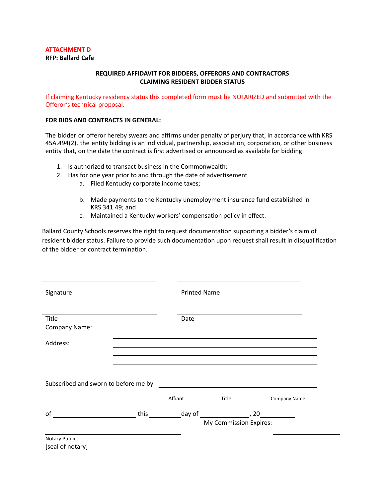### **ATTACHMENT D**

**RFP: Ballard Cafe**

## **REQUIRED AFFIDAVIT FOR BIDDERS, OFFERORS AND CONTRACTORS CLAIMING RESIDENT BIDDER STATUS**

If claiming Kentucky residency status this completed form must be NOTARIZED and submitted with the Offeror's technical proposal.

### **FOR BIDS AND CONTRACTS IN GENERAL:**

The bidder or offeror hereby swears and affirms under penalty of perjury that, in accordance with KRS 45A.494(2), the entity bidding is an individual, partnership, association, corporation, or other business entity that, on the date the contract is first advertised or announced as available for bidding:

- 1. Is authorized to transact business in the Commonwealth;
- 2. Has for one year prior to and through the date of advertisement
	- a. Filed Kentucky corporate income taxes;
	- b. Made payments to the Kentucky unemployment insurance fund established in KRS 341.49; and
	- c. Maintained a Kentucky workers' compensation policy in effect.

Ballard County Schools reserves the right to request documentation supporting a bidder's claim of resident bidder status. Failure to provide such documentation upon request shall result in disqualification of the bidder or contract termination.

| Signature                                   | <b>Printed Name</b> |                        |                     |
|---------------------------------------------|---------------------|------------------------|---------------------|
| Title<br>Company Name:                      | Date                |                        |                     |
| Address:                                    |                     |                        |                     |
| Subscribed and sworn to before me by        |                     |                        |                     |
|                                             | Affiant             | Title                  | <b>Company Name</b> |
| οf<br><u> 1990 - Johann Barnett, f</u> erre |                     | My Commission Expires: |                     |
| Notary Public                               |                     |                        |                     |

[seal of notary]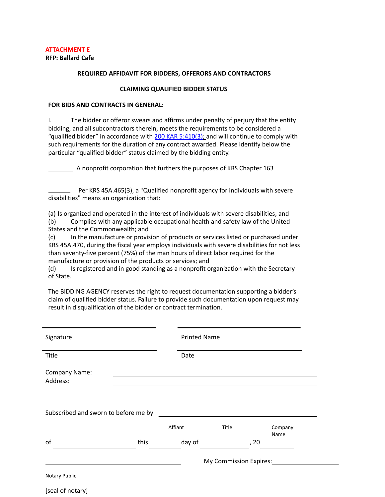# **ATTACHMENT E**

**RFP: Ballard Cafe**

#### **REQUIRED AFFIDAVIT FOR BIDDERS, OFFERORS AND CONTRACTORS**

#### **CLAIMING QUALIFIED BIDDER STATUS**

#### **FOR BIDS AND CONTRACTS IN GENERAL:**

I. The bidder or offeror swears and affirms under penalty of perjury that the entity bidding, and all subcontractors therein, meets the requirements to be considered a "qualified bidder" in accordance with 200 KAR [5:410\(3\);](http://www.lrc.ky.gov/kar/200/005/410.htm) and will continue to comply with such requirements for the duration of any contract awarded. Please identify below the particular "qualified bidder" status claimed by the bidding entity.

A nonprofit corporation that furthers the purposes of KRS Chapter 163

Per KRS 45A.465(3), a "Qualified nonprofit agency for individuals with severe disabilities" means an organization that:

(a) Is organized and operated in the interest of individuals with severe disabilities; and (b) Complies with any applicable occupational health and safety law of the United States and the Commonwealth; and

(c) In the manufacture or provision of products or services listed or purchased under KRS 45A.470, during the fiscal year employs individuals with severe disabilities for not less than seventy-five percent (75%) of the man hours of direct labor required for the manufacture or provision of the products or services; and

(d) Is registered and in good standing as a nonprofit organization with the Secretary of State.

The BIDDING AGENCY reserves the right to request documentation supporting a bidder's claim of qualified bidder status. Failure to provide such documentation upon request may result in disqualification of the bidder or contract termination.

| Title                                |      | Date    |       |              |
|--------------------------------------|------|---------|-------|--------------|
| Company Name:<br>Address:            |      |         |       |              |
|                                      |      |         |       |              |
| Subscribed and sworn to before me by |      | Affiant | Title | Company      |
| of                                   | this | day of  |       | Name<br>, 20 |

[seal of notary]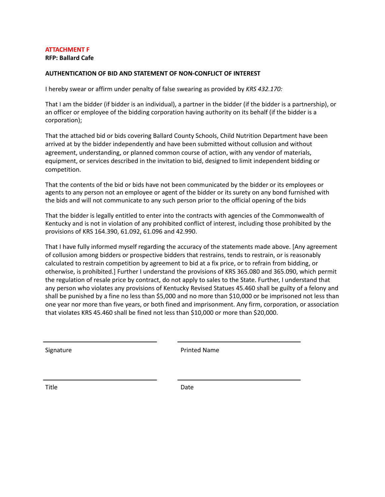## **ATTACHMENT F**

**RFP: Ballard Cafe**

### **AUTHENTICATION OF BID AND STATEMENT OF NON-CONFLICT OF INTEREST**

I hereby swear or affirm under penalty of false swearing as provided by *KRS 432.170:*

That I am the bidder (if bidder is an individual), a partner in the bidder (if the bidder is a partnership), or an officer or employee of the bidding corporation having authority on its behalf (if the bidder is a corporation);

That the attached bid or bids covering Ballard County Schools, Child Nutrition Department have been arrived at by the bidder independently and have been submitted without collusion and without agreement, understanding, or planned common course of action, with any vendor of materials, equipment, or services described in the invitation to bid, designed to limit independent bidding or competition.

That the contents of the bid or bids have not been communicated by the bidder or its employees or agents to any person not an employee or agent of the bidder or its surety on any bond furnished with the bids and will not communicate to any such person prior to the official opening of the bids

That the bidder is legally entitled to enter into the contracts with agencies of the Commonwealth of Kentucky and is not in violation of any prohibited conflict of interest, including those prohibited by the provisions of KRS 164.390, 61.092, 61.096 and 42.990.

That I have fully informed myself regarding the accuracy of the statements made above. [Any agreement of collusion among bidders or prospective bidders that restrains, tends to restrain, or is reasonably calculated to restrain competition by agreement to bid at a fix price, or to refrain from bidding, or otherwise, is prohibited.] Further I understand the provisions of KRS 365.080 and 365.090, which permit the regulation of resale price by contract, do not apply to sales to the State. Further, I understand that any person who violates any provisions of Kentucky Revised Statues 45.460 shall be guilty of a felony and shall be punished by a fine no less than \$5,000 and no more than \$10,000 or be imprisoned not less than one year nor more than five years, or both fined and imprisonment. Any firm, corporation, or association that violates KRS 45.460 shall be fined not less than \$10,000 or more than \$20,000.

Signature **Printed Name** 

Title **Date**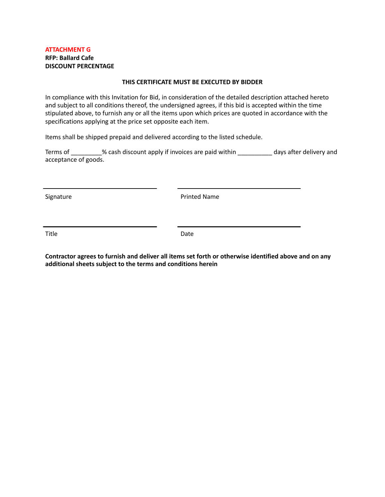## **ATTACHMENT G RFP: Ballard Cafe DISCOUNT PERCENTAGE**

### **THIS CERTIFICATE MUST BE EXECUTED BY BIDDER**

In compliance with this Invitation for Bid, in consideration of the detailed description attached hereto and subject to all conditions thereof, the undersigned agrees, if this bid is accepted within the time stipulated above, to furnish any or all the items upon which prices are quoted in accordance with the specifications applying at the price set opposite each item.

Items shall be shipped prepaid and delivered according to the listed schedule.

Terms of \_\_\_\_\_\_\_\_\_% cash discount apply if invoices are paid within \_\_\_\_\_\_\_\_\_\_ days after delivery and acceptance of goods.

Signature **Printed Name** 

Title **Date** 

**Contractor agrees to furnish and deliver all items set forth or otherwise identified above and on any additional sheets subject to the terms and conditions herein**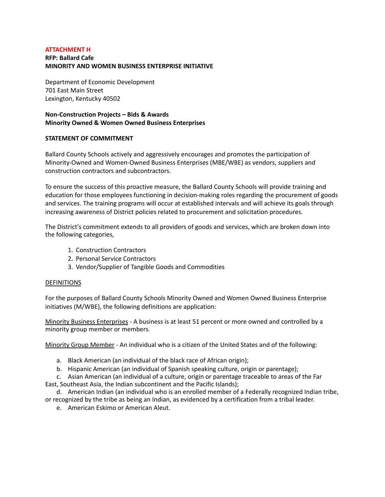### **ATTACHMENT H**

# **RFP: Ballard Cafe MINORITY AND WOMEN BUSINESS ENTERPRISE INITIATIVE**

Department of Economic Development 701 East Main Street Lexington, Kentucky 40502

## **Non-Construction Projects – Bids & Awards Minority Owned & Women Owned Business Enterprises**

### **STATEMENT OF COMMITMENT**

Ballard County Schools actively and aggressively encourages and promotes the participation of Minority-Owned and Women-Owned Business Enterprises (MBE/WBE) as vendors, suppliers and construction contractors and subcontractors.

To ensure the success of this proactive measure, the Ballard County Schools will provide training and education for those employees functioning in decision-making roles regarding the procurement of goods and services. The training programs will occur at established intervals and will achieve its goals through increasing awareness of District policies related to procurement and solicitation procedures.

The District's commitment extends to all providers of goods and services, which are broken down into the following categories,

- 1. Construction Contractors
- 2. Personal Service Contractors
- 3. Vendor/Supplier of Tangible Goods and Commodities

## DEFINITIONS

For the purposes of Ballard County Schools Minority Owned and Women Owned Business Enterprise initiatives (M/WBE), the following definitions are application:

Minority Business Enterprises - A business is at least 51 percent or more owned and controlled by a minority group member or members.

Minority Group Member - An individual who is a citizen of the United States and of the following:

- a. Black American (an individual of the black race of African origin);
- b. Hispanic American (an individual of Spanish speaking culture, origin or parentage);

c. Asian American (an individual of a culture, origin or parentage traceable to areas of the Far East, Southeast Asia, the Indian subcontinent and the Pacific Islands);

d. American Indian (an individual who is an enrolled member of a Federally recognized Indian tribe, or recognized by the tribe as being an Indian, as evidenced by a certification from a tribal leader.

e. American Eskimo or American Aleut.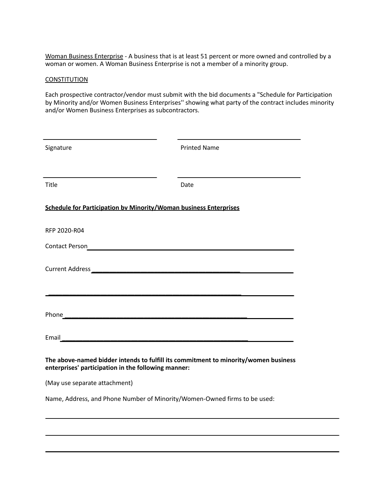Woman Business Enterprise - A business that is at least 51 percent or more owned and controlled by a woman or women. A Woman Business Enterprise is not a member of a minority group.

### **CONSTITUTION**

Each prospective contractor/vendor must submit with the bid documents a "Schedule for Participation by Minority and/or Women Business Enterprises'' showing what party of the contract includes minority and/or Women Business Enterprises as subcontractors.

| Signature                                                                                                                                  | <b>Printed Name</b> |
|--------------------------------------------------------------------------------------------------------------------------------------------|---------------------|
| Title                                                                                                                                      | Date                |
| <b>Schedule for Participation by Minority/Woman business Enterprises</b>                                                                   |                     |
| RFP 2020-R04                                                                                                                               |                     |
|                                                                                                                                            |                     |
|                                                                                                                                            |                     |
|                                                                                                                                            |                     |
|                                                                                                                                            |                     |
|                                                                                                                                            |                     |
| The above-named bidder intends to fulfill its commitment to minority/women business<br>enterprises' participation in the following manner: |                     |
| (May use separate attachment)                                                                                                              |                     |
| Name, Address, and Phone Number of Minority/Women-Owned firms to be used:                                                                  |                     |
|                                                                                                                                            |                     |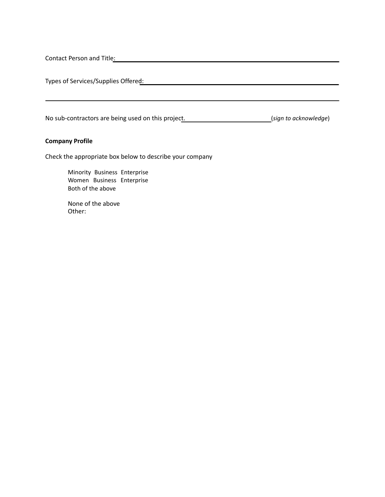Contact Person and Title:

Types of Services/Supplies Offered:

No sub-contractors are being used on this project. (*sign to acknowledge*)

### **Company Profile**

Check the appropriate box below to describe your company

Minority Business Enterprise Women Business Enterprise Both of the above

None of the above Other: